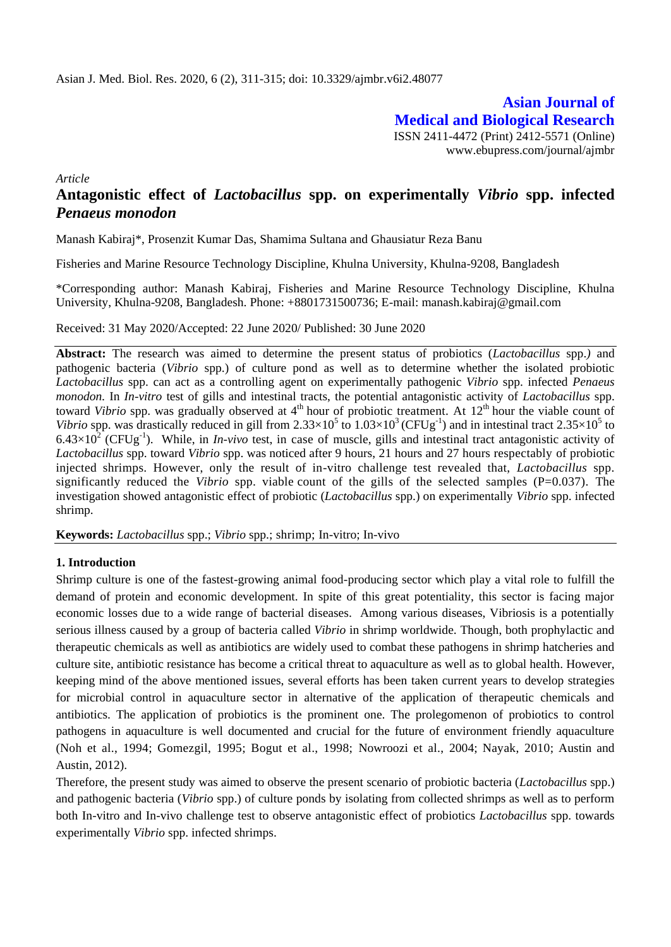**Asian Journal of Medical and Biological Research** ISSN 2411-4472 (Print) 2412-5571 (Online) www.ebupress.com/journal/ajmbr

*Article*

# **Antagonistic effect of** *Lactobacillus* **spp. on experimentally** *Vibrio* **spp. infected**  *Penaeus monodon*

Manash Kabiraj\*, Prosenzit Kumar Das, Shamima Sultana and Ghausiatur Reza Banu

Fisheries and Marine Resource Technology Discipline, Khulna University, Khulna-9208, Bangladesh

\*Corresponding author: Manash Kabiraj, Fisheries and Marine Resource Technology Discipline, Khulna University, Khulna-9208, Bangladesh. Phone: +8801731500736; E-mail: manash.kabiraj@gmail.com

Received: 31 May 2020/Accepted: 22 June 2020/ Published: 30 June 2020

**Abstract:** The research was aimed to determine the present status of probiotics (*Lactobacillus* spp.*)* and pathogenic bacteria (*Vibrio* spp.) of culture pond as well as to determine whether the isolated probiotic *Lactobacillus* spp. can act as a controlling agent on experimentally pathogenic *Vibrio* spp. infected *Penaeus monodon.* In *In-vitro* test of gills and intestinal tracts, the potential antagonistic activity of *Lactobacillus* spp. toward Vibrio spp. was gradually observed at 4<sup>th</sup> hour of probiotic treatment. At 12<sup>th</sup> hour the viable count of Vibrio spp. was drastically reduced in gill from  $2.33 \times 10^5$  to  $1.03 \times 10^3$  (CFUg<sup>-1</sup>) and in intestinal tract  $2.35 \times 10^5$  to  $6.43\times10^{2}$  (CFUg<sup>-1</sup>). While, in *In-vivo* test, in case of muscle, gills and intestinal tract antagonistic activity of *Lactobacillus* spp. toward *Vibrio* spp. was noticed after 9 hours, 21 hours and 27 hours respectably of probiotic injected shrimps. However, only the result of in-vitro challenge test revealed that, *Lactobacillus* spp. significantly reduced the *Vibrio* spp. viable count of the gills of the selected samples (P=0.037). The investigation showed antagonistic effect of probiotic (*Lactobacillus* spp.) on experimentally *Vibrio* spp. infected shrimp.

**Keywords:** *Lactobacillus* spp.; *Vibrio* spp.; shrimp; In-vitro; In-vivo

### **1. Introduction**

Shrimp culture is one of the fastest-growing animal food-producing sector which play a vital role to fulfill the demand of protein and economic development. In spite of this great potentiality, this sector is facing major economic losses due to a wide range of bacterial diseases. Among various diseases, Vibriosis is a potentially serious illness caused by a group of bacteria called *Vibrio* in shrimp worldwide. Though, both prophylactic and therapeutic chemicals as well as antibiotics are widely used to combat these pathogens in shrimp hatcheries and culture site, antibiotic resistance has become a critical threat to aquaculture as well as to global health. However, keeping mind of the above mentioned issues, several efforts has been taken current years to develop strategies for microbial control in aquaculture sector in alternative of the application of therapeutic chemicals and antibiotics. The application of probiotics is the prominent one. The prolegomenon of probiotics to control pathogens in aquaculture is well documented and crucial for the future of environment friendly aquaculture (Noh et al., 1994; Gomezgil, 1995; Bogut et al., 1998; Nowroozi et al., 2004; Nayak, 2010; Austin and Austin, 2012).

Therefore, the present study was aimed to observe the present scenario of probiotic bacteria (*Lactobacillus* spp.) and pathogenic bacteria (*Vibrio* spp.) of culture ponds by isolating from collected shrimps as well as to perform both In-vitro and In-vivo challenge test to observe antagonistic effect of probiotics *Lactobacillus* spp. towards experimentally *Vibrio* spp. infected shrimps.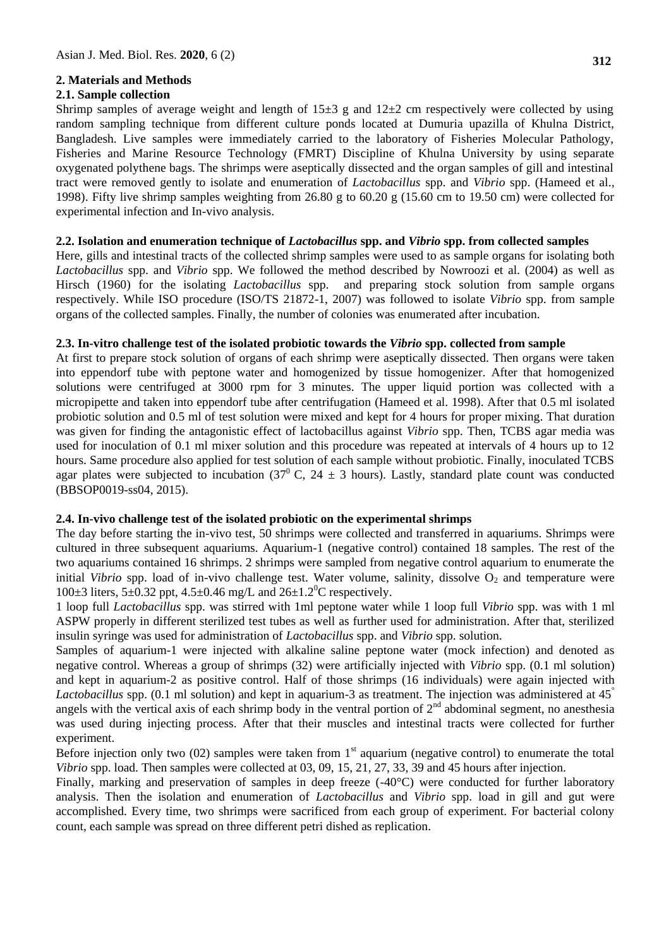## **2. Materials and Methods**

## **2.1. Sample collection**

Shrimp samples of average weight and length of  $15\pm3$  g and  $12\pm2$  cm respectively were collected by using random sampling technique from different culture ponds located at Dumuria upazilla of Khulna District, Bangladesh. Live samples were immediately carried to the laboratory of Fisheries Molecular Pathology, Fisheries and Marine Resource Technology (FMRT) Discipline of Khulna University by using separate oxygenated polythene bags. The shrimps were aseptically dissected and the organ samples of gill and intestinal tract were removed gently to isolate and enumeration of *Lactobacillus* spp. and *Vibrio* spp. (Hameed et al., 1998). Fifty live shrimp samples weighting from 26.80 g to 60.20 g (15.60 cm to 19.50 cm) were collected for experimental infection and In-vivo analysis.

## **2.2. Isolation and enumeration technique of** *Lactobacillus* **spp. and** *Vibrio* **spp. from collected samples**

Here, gills and intestinal tracts of the collected shrimp samples were used to as sample organs for isolating both *Lactobacillus* spp. and *Vibrio* spp. We followed the method described by Nowroozi et al. (2004) as well as Hirsch (1960) for the isolating *Lactobacillus* spp. and preparing stock solution from sample organs respectively. While ISO procedure (ISO/TS 21872-1, 2007) was followed to isolate *Vibrio* spp. from sample organs of the collected samples. Finally, the number of colonies was enumerated after incubation.

## **2.3. In-vitro challenge test of the isolated probiotic towards the** *Vibrio* **spp. collected from sample**

At first to prepare stock solution of organs of each shrimp were aseptically dissected. Then organs were taken into eppendorf tube with peptone water and homogenized by tissue homogenizer. After that homogenized solutions were centrifuged at 3000 rpm for 3 minutes. The upper liquid portion was collected with a micropipette and taken into eppendorf tube after centrifugation (Hameed et al. 1998). After that 0.5 ml isolated probiotic solution and 0.5 ml of test solution were mixed and kept for 4 hours for proper mixing. That duration was given for finding the antagonistic effect of lactobacillus against *Vibrio* spp. Then, TCBS agar media was used for inoculation of 0.1 ml mixer solution and this procedure was repeated at intervals of 4 hours up to 12 hours. Same procedure also applied for test solution of each sample without probiotic. Finally, inoculated TCBS agar plates were subjected to incubation (37<sup>0</sup> C, 24  $\pm$  3 hours). Lastly, standard plate count was conducted (BBSOP0019-ss04, 2015).

## **2.4. In-vivo challenge test of the isolated probiotic on the experimental shrimps**

The day before starting the in-vivo test, 50 shrimps were collected and transferred in aquariums. Shrimps were cultured in three subsequent aquariums. Aquarium-1 (negative control) contained 18 samples. The rest of the two aquariums contained 16 shrimps. 2 shrimps were sampled from negative control aquarium to enumerate the initial *Vibrio* spp. load of in-vivo challenge test. Water volume, salinity, dissolve O<sub>2</sub> and temperature were 100 $\pm$ 3 liters, 5 $\pm$ 0.32 ppt, 4.5 $\pm$ 0.46 mg/L and 26 $\pm$ 1.2<sup>0</sup>C respectively.

1 loop full *Lactobacillus* spp. was stirred with 1ml peptone water while 1 loop full *Vibrio* spp. was with 1 ml ASPW properly in different sterilized test tubes as well as further used for administration. After that, sterilized insulin syringe was used for administration of *Lactobacillus* spp. and *Vibrio* spp. solution.

Samples of aquarium-1 were injected with alkaline saline peptone water (mock infection) and denoted as negative control. Whereas a group of shrimps (32) were artificially injected with *Vibrio* spp. (0.1 ml solution) and kept in aquarium-2 as positive control. Half of those shrimps (16 individuals) were again injected with *Lactobacillus* spp. (0.1 ml solution) and kept in aquarium-3 as treatment. The injection was administered at 45<sup>°</sup> angels with the vertical axis of each shrimp body in the ventral portion of  $2<sup>nd</sup>$  abdominal segment, no anesthesia was used during injecting process. After that their muscles and intestinal tracts were collected for further experiment.

Before injection only two  $(02)$  samples were taken from  $1<sup>st</sup>$  aquarium (negative control) to enumerate the total *Vibrio* spp. load. Then samples were collected at 03, 09, 15, 21, 27, 33, 39 and 45 hours after injection.

Finally, marking and preservation of samples in deep freeze (-40°C) were conducted for further laboratory analysis. Then the isolation and enumeration of *Lactobacillus* and *Vibrio* spp. load in gill and gut were accomplished. Every time, two shrimps were sacrificed from each group of experiment. For bacterial colony count, each sample was spread on three different petri dished as replication.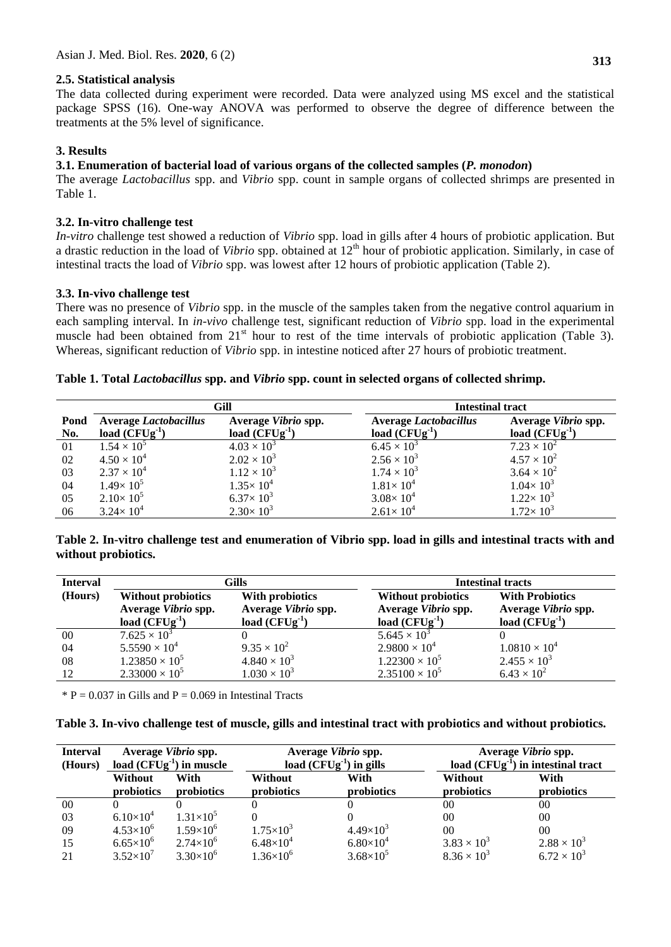## **2.5. Statistical analysis**

The data collected during experiment were recorded. Data were analyzed using MS excel and the statistical package SPSS (16). One-way ANOVA was performed to observe the degree of difference between the treatments at the 5% level of significance.

## **3. Results**

### **3.1. Enumeration of bacterial load of various organs of the collected samples (***P. monodon***)**

The average *Lactobacillus* spp. and *Vibrio* spp. count in sample organs of collected shrimps are presented in Table 1.

### **3.2. In-vitro challenge test**

*In-vitro* challenge test showed a reduction of *Vibrio* spp. load in gills after 4 hours of probiotic application. But a drastic reduction in the load of *Vibrio* spp. obtained at 12<sup>th</sup> hour of probiotic application. Similarly, in case of intestinal tracts the load of *Vibrio* spp. was lowest after 12 hours of probiotic application (Table 2).

### **3.3. In-vivo challenge test**

There was no presence of *Vibrio* spp. in the muscle of the samples taken from the negative control aquarium in each sampling interval. In *in-vivo* challenge test, significant reduction of *Vibrio* spp. load in the experimental muscle had been obtained from 21<sup>st</sup> hour to rest of the time intervals of probiotic application (Table 3). Whereas, significant reduction of *Vibrio* spp. in intestine noticed after 27 hours of probiotic treatment.

### **Table 1. Total** *Lactobacillus* **spp. and** *Vibrio* **spp. count in selected organs of collected shrimp.**

|             |                                                 | Gill                                      | <b>Intestinal tract</b>                            |                                        |  |
|-------------|-------------------------------------------------|-------------------------------------------|----------------------------------------------------|----------------------------------------|--|
| Pond<br>No. | <b>Average Lactobacillus</b><br>load $(CFUg-1)$ | Average Vibrio spp.<br>load $(CFUg^{-1})$ | <b>Average Lactobacillus</b><br>load $(CFUg^{-1})$ | Average Vibrio spp.<br>load $(CFUg-1)$ |  |
| 01          | $1.54 \times 10^{5}$                            | $4.03 \times 10^{3}$                      | $6.45 \times 10^{3}$                               | $7.23 \times 10^{2}$                   |  |
| 02          | $4.50 \times 10^{4}$                            | $2.02 \times 10^{3}$                      | $2.56 \times 10^{3}$                               | $4.57 \times 10^{2}$                   |  |
| 03          | $2.37 \times 10^{4}$                            | $1.12 \times 10^{3}$                      | $1.74 \times 10^{3}$                               | $3.64 \times 10^{2}$                   |  |
| 04          | $1.49 \times 10^5$                              | $1.35 \times 10^{4}$                      | $1.81\times 10^{4}$                                | $1.04 \times 10^3$                     |  |
| 05          | $2.10\times10^{5}$                              | $6.37\times 10^{3}$                       | $3.08 \times 10^{4}$                               | $1.22 \times 10^3$                     |  |
| 06          | $3.24 \times 10^{4}$                            | $2.30 \times 10^3$                        | $2.61 \times 10^{4}$                               | $1.72 \times 10^{3}$                   |  |

#### **Table 2. In-vitro challenge test and enumeration of Vibrio spp. load in gills and intestinal tracts with and without probiotics.**

| <b>Interval</b> | Gills                                                               |                                                              | <b>Intestinal tracts</b>                                                |                                                                  |  |
|-----------------|---------------------------------------------------------------------|--------------------------------------------------------------|-------------------------------------------------------------------------|------------------------------------------------------------------|--|
| (Hours)         | <b>Without probiotics</b><br>Average Vibrio spp.<br>load $(CFUg-1)$ | With probiotics<br>Average Vibrio spp.<br>load $(CFUg^{-1})$ | Without probiotics<br>Average Vibrio spp.<br>load $(\overline{CFUg}^1)$ | <b>With Probiotics</b><br>Average Vibrio spp.<br>load $(CFUg-1)$ |  |
| 00              | $7.625 \times 10^{3}$                                               |                                                              | $5.645 \times 10^{3}$                                                   |                                                                  |  |
| 04              | $5.5590 \times 10^{4}$                                              | $9.35 \times 10^{2}$                                         | $2.9800 \times 10^4$                                                    | $1.0810 \times 10^4$                                             |  |
| 08              | $1.23850 \times 10^5$                                               | $4.840 \times 10^{3}$                                        | $1.22300 \times 10^5$                                                   | $2.455 \times 10^{3}$                                            |  |
| 12              | $2.33000 \times 10^5$                                               | $1.030 \times 10^3$                                          | $2.35100 \times 10^5$                                                   | $6.43 \times 10^{2}$                                             |  |

 $*$  P = 0.037 in Gills and P = 0.069 in Intestinal Tracts

| Table 3. In-vivo challenge test of muscle, gills and intestinal tract with probiotics and without probiotics. |  |  |
|---------------------------------------------------------------------------------------------------------------|--|--|
|                                                                                                               |  |  |

| <b>Interval</b> | Average Vibrio spp.<br>load $(CFUg-1)$ in muscle |                    | Average Vibrio spp.<br>load $(CFUg^{-1})$ in gills |                    | Average Vibrio spp.<br>load $(CFUg^{-1})$ in intestinal tract |                      |
|-----------------|--------------------------------------------------|--------------------|----------------------------------------------------|--------------------|---------------------------------------------------------------|----------------------|
| (Hours)         | Without<br>probiotics                            | With<br>probiotics | Without<br>probiotics                              | With<br>probiotics | Without<br>probiotics                                         | With<br>probiotics   |
| 00              |                                                  |                    |                                                    |                    | 00                                                            | 00                   |
| 03              | $6.10\times10^{4}$                               | $1.31\times10^{5}$ |                                                    |                    | 00                                                            | 00                   |
| 09              | $4.53\times10^{6}$                               | $1.59\times10^{6}$ | $1.75\times10^{3}$                                 | $4.49\times10^{3}$ | 0 <sup>0</sup>                                                | 00                   |
| 15              | $6.65\times10^{6}$                               | $2.74\times10^{6}$ | $6.48\times10^{4}$                                 | $6.80\times10^{4}$ | $3.83 \times 10^{3}$                                          | $2.88 \times 10^{3}$ |
| 21              | $3.52\times10^{7}$                               | $3.30\times10^{6}$ | $1.36\times10^{6}$                                 | $3.68\times10^{5}$ | $8.36 \times 10^{3}$                                          | $6.72 \times 10^{3}$ |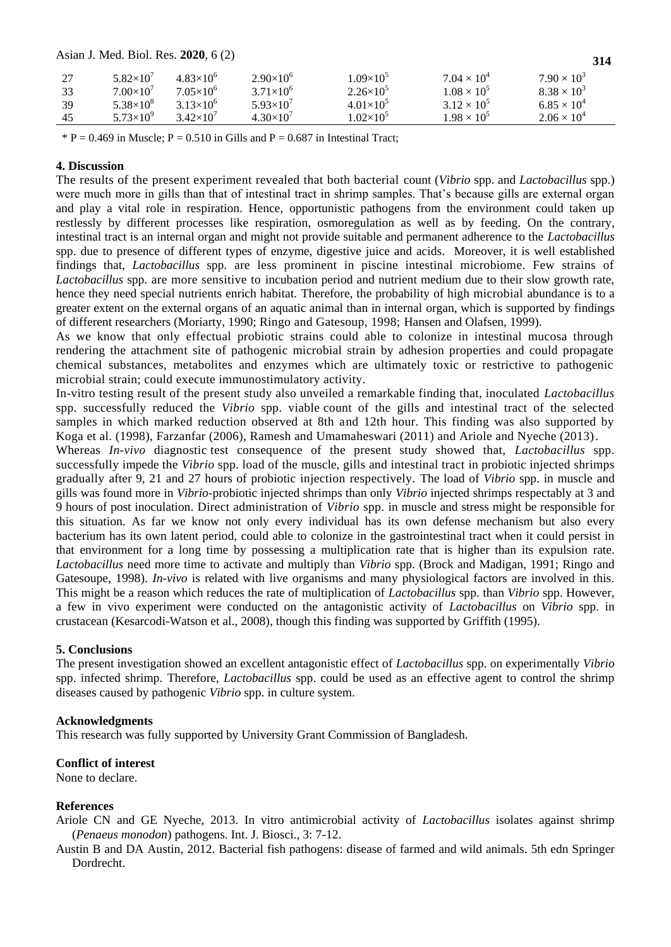| Asian J. Med. Biol. Res. 2020, 6 (2) | 314                |                    |                    |                    |                      |                      |
|--------------------------------------|--------------------|--------------------|--------------------|--------------------|----------------------|----------------------|
| 27                                   | $5.82\times10^{7}$ | $4.83\times10^{6}$ | $2.90\times10^{6}$ | $1.09\times10^{5}$ | $7.04 \times 10^{4}$ | $7.90 \times 10^{3}$ |
| 33                                   | $7.00\times10^{7}$ | $7.05\times10^{6}$ | $3.71\times10^{6}$ | $2.26\times10^{5}$ | $1.08 \times 10^{5}$ | $8.38 \times 10^{3}$ |
| 39                                   | $5.38\times10^{8}$ | $3.13\times10^{6}$ | $5.93\times10^{7}$ | $4.01\times10^{5}$ | $3.12 \times 10^{5}$ | $6.85 \times 10^{4}$ |
| 45                                   | $5.73\times10^{9}$ | $3.42\times10^{7}$ | $4.30\times10^{7}$ | $1.02\times10^{5}$ | $1.98 \times 10^{5}$ | $2.06 \times 10^{4}$ |

 $* P = 0.469$  in Muscle;  $P = 0.510$  in Gills and  $P = 0.687$  in Intestinal Tract;

#### **4. Discussion**

The results of the present experiment revealed that both bacterial count (*Vibrio* spp. and *Lactobacillus* spp.) were much more in gills than that of intestinal tract in shrimp samples. That's because gills are external organ and play a vital role in respiration. Hence, opportunistic pathogens from the environment could taken up restlessly by different processes like respiration, osmoregulation as well as by feeding. On the contrary, intestinal tract is an internal organ and might not provide suitable and permanent adherence to the *Lactobacillus*  spp. due to presence of different types of enzyme, digestive juice and acids. Moreover, it is well established findings that, *Lactobacillus* spp. are less prominent in piscine intestinal microbiome. Few strains of *Lactobacillus* spp*.* are more sensitive to incubation period and nutrient medium due to their slow growth rate, hence they need special nutrients enrich habitat. Therefore, the probability of high microbial abundance is to a greater extent on the external organs of an aquatic animal than in internal organ, which is supported by findings of different researchers (Moriarty, 1990; Ringo and Gatesoup, 1998; Hansen and Olafsen, 1999).

As we know that only effectual probiotic strains could able to colonize in intestinal mucosa through rendering the attachment site of pathogenic microbial strain by adhesion properties and could propagate chemical substances, metabolites and enzymes which are ultimately toxic or restrictive to pathogenic microbial strain; could execute immunostimulatory activity.

In-vitro testing result of the present study also unveiled a remarkable finding that, inoculated *Lactobacillus* spp. successfully reduced the *Vibrio* spp. viable count of the gills and intestinal tract of the selected samples in which marked reduction observed at 8th and 12th hour. This finding was also supported by Koga et al. (1998), Farzanfar (2006), Ramesh and Umamaheswari (2011) and Ariole and Nyeche (2013).

Whereas *In-vivo* diagnostic test consequence of the present study showed that, *Lactobacillus* spp. successfully impede the *Vibrio* spp. load of the muscle, gills and intestinal tract in probiotic injected shrimps gradually after 9, 21 and 27 hours of probiotic injection respectively. The load of *Vibrio* spp. in muscle and gills was found more in *Vibrio*-probiotic injected shrimps than only *Vibrio* injected shrimps respectably at 3 and 9 hours of post inoculation. Direct administration of *Vibrio* spp. in muscle and stress might be responsible for this situation. As far we know not only every individual has its own defense mechanism but also every bacterium has its own latent period, could able to colonize in the gastrointestinal tract when it could persist in that environment for a long time by possessing a multiplication rate that is higher than its expulsion rate. *Lactobacillus* need more time to activate and multiply than *Vibrio* spp. (Brock and Madigan, 1991; Ringo and Gatesoupe, 1998). *In-vivo* is related with live organisms and many physiological factors are involved in this. This might be a reason which reduces the rate of multiplication of *Lactobacillus* spp. than *Vibrio* spp. However, a few in vivo experiment were conducted on the antagonistic activity of *Lactobacillus* on *Vibrio* spp. in crustacean (Kesarcodi-Watson et al., 2008), though this finding was supported by Griffith (1995).

#### **5. Conclusions**

The present investigation showed an excellent antagonistic effect of *Lactobacillus* spp. on experimentally *Vibrio* spp. infected shrimp. Therefore, *Lactobacillus* spp. could be used as an effective agent to control the shrimp diseases caused by pathogenic *Vibrio* spp. in culture system.

#### **Acknowledgments**

This research was fully supported by University Grant Commission of Bangladesh.

#### **Conflict of interest**

None to declare.

#### **References**

Ariole CN and GE Nyeche, 2013. In vitro antimicrobial activity of *Lactobacillus* isolates against shrimp (*Penaeus monodon*) pathogens. Int. J. Biosci., 3: 7-12.

Austin B and DA Austin, 2012. Bacterial fish pathogens: disease of farmed and wild animals. 5th edn Springer Dordrecht.